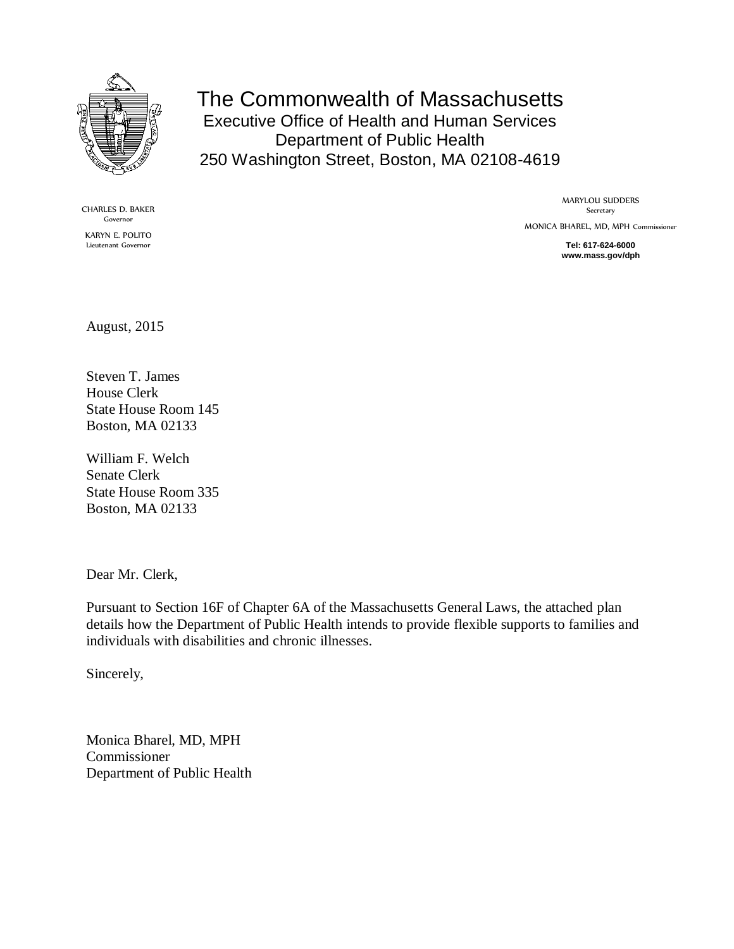

The Commonwealth of Massachusetts Executive Office of Health and Human Services Department of Public Health 250 Washington Street, Boston, MA 02108-4619

CHARLES D. BAKER Governor KARYN E. POLITO Lieutenant Governor

MARYLOU SUDDERS Secretary MONICA BHAREL, MD, MPH Commissioner

> **Tel: 617-624-6000 www.mass.gov/dph**

August, 2015

Steven T. James House Clerk State House Room 145 Boston, MA 02133

William F. Welch Senate Clerk State House Room 335 Boston, MA 02133

Dear Mr. Clerk,

Pursuant to Section 16F of Chapter 6A of the Massachusetts General Laws, the attached plan details how the Department of Public Health intends to provide flexible supports to families and individuals with disabilities and chronic illnesses.

Sincerely,

Monica Bharel, MD, MPH Commissioner Department of Public Health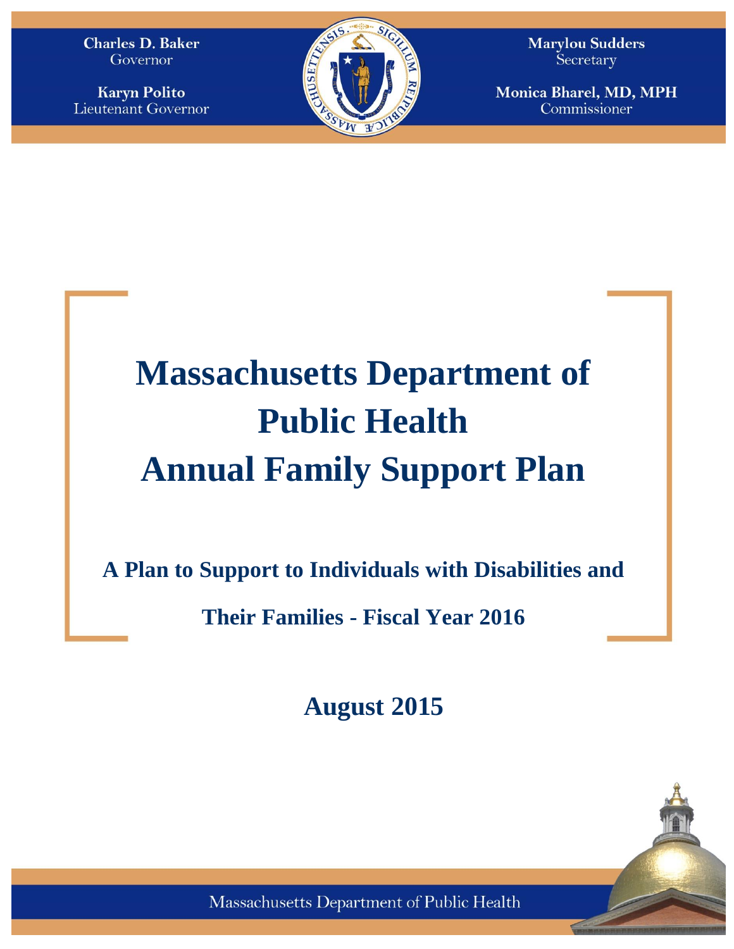**Charles D. Baker** Governor

**Karyn Polito** Lieutenant Governor



**Marylou Sudders** Secretary

Monica Bharel, MD, MPH Commissioner

# **Massachusetts Department of Public Health Annual Family Support Plan**

**A Plan to Support to Individuals with Disabilities and** 

**Their Families - Fiscal Year 2016**

**August 2015**



Massachusetts Department of Public Health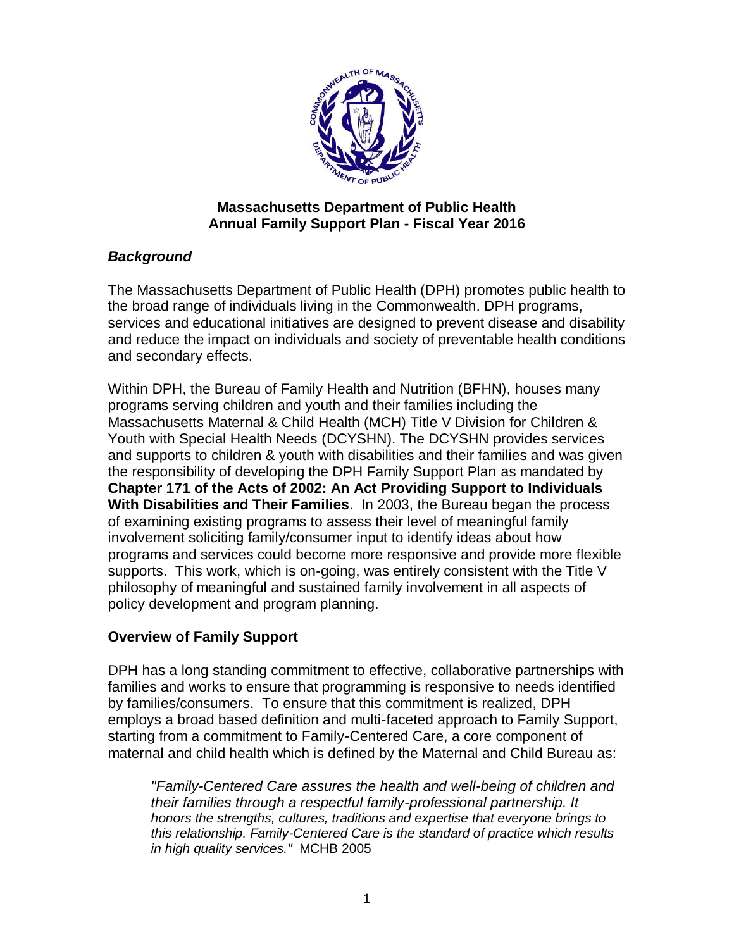

#### **Massachusetts Department of Public Health Annual Family Support Plan - Fiscal Year 2016**

# *Background*

The Massachusetts Department of Public Health (DPH) promotes public health to the broad range of individuals living in the Commonwealth. DPH programs, services and educational initiatives are designed to prevent disease and disability and reduce the impact on individuals and society of preventable health conditions and secondary effects.

Within DPH, the Bureau of Family Health and Nutrition (BFHN), houses many programs serving children and youth and their families including the Massachusetts Maternal & Child Health (MCH) Title V Division for Children & Youth with Special Health Needs (DCYSHN). The DCYSHN provides services and supports to children & youth with disabilities and their families and was given the responsibility of developing the DPH Family Support Plan as mandated by **Chapter 171 of the Acts of 2002: An Act Providing Support to Individuals With Disabilities and Their Families**. In 2003, the Bureau began the process of examining existing programs to assess their level of meaningful family involvement soliciting family/consumer input to identify ideas about how programs and services could become more responsive and provide more flexible supports. This work, which is on-going, was entirely consistent with the Title V philosophy of meaningful and sustained family involvement in all aspects of policy development and program planning.

# **Overview of Family Support**

DPH has a long standing commitment to effective, collaborative partnerships with families and works to ensure that programming is responsive to needs identified by families/consumers. To ensure that this commitment is realized, DPH employs a broad based definition and multi-faceted approach to Family Support, starting from a commitment to Family-Centered Care, a core component of maternal and child health which is defined by the Maternal and Child Bureau as:

*"Family-Centered Care assures the health and well-being of children and their families through a respectful family-professional partnership. It honors the strengths, cultures, traditions and expertise that everyone brings to this relationship. Family-Centered Care is the standard of practice which results in high quality services."* MCHB 2005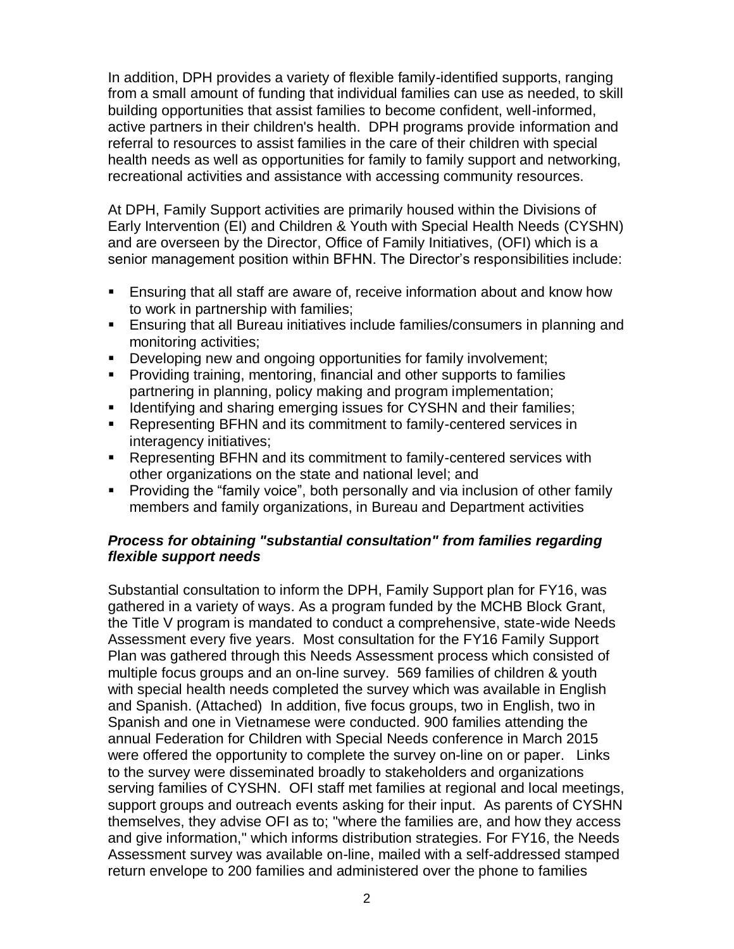In addition, DPH provides a variety of flexible family-identified supports, ranging from a small amount of funding that individual families can use as needed, to skill building opportunities that assist families to become confident, well-informed, active partners in their children's health. DPH programs provide information and referral to resources to assist families in the care of their children with special health needs as well as opportunities for family to family support and networking, recreational activities and assistance with accessing community resources.

At DPH, Family Support activities are primarily housed within the Divisions of Early Intervention (EI) and Children & Youth with Special Health Needs (CYSHN) and are overseen by the Director, Office of Family Initiatives, (OFI) which is a senior management position within BFHN. The Director's responsibilities include:

- Ensuring that all staff are aware of, receive information about and know how to work in partnership with families;
- Ensuring that all Bureau initiatives include families/consumers in planning and monitoring activities;
- Developing new and ongoing opportunities for family involvement;
- **Providing training, mentoring, financial and other supports to families** partnering in planning, policy making and program implementation;
- **If Identifying and sharing emerging issues for CYSHN and their families;**
- Representing BFHN and its commitment to family-centered services in interagency initiatives;
- Representing BFHN and its commitment to family-centered services with other organizations on the state and national level; and
- **Providing the "family voice", both personally and via inclusion of other family** members and family organizations, in Bureau and Department activities

## *Process for obtaining "substantial consultation" from families regarding flexible support needs*

Substantial consultation to inform the DPH, Family Support plan for FY16, was gathered in a variety of ways. As a program funded by the MCHB Block Grant, the Title V program is mandated to conduct a comprehensive, state-wide Needs Assessment every five years. Most consultation for the FY16 Family Support Plan was gathered through this Needs Assessment process which consisted of multiple focus groups and an on-line survey. 569 families of children & youth with special health needs completed the survey which was available in English and Spanish. (Attached) In addition, five focus groups, two in English, two in Spanish and one in Vietnamese were conducted. 900 families attending the annual Federation for Children with Special Needs conference in March 2015 were offered the opportunity to complete the survey on-line on or paper. Links to the survey were disseminated broadly to stakeholders and organizations serving families of CYSHN. OFI staff met families at regional and local meetings, support groups and outreach events asking for their input. As parents of CYSHN themselves, they advise OFI as to; "where the families are, and how they access and give information," which informs distribution strategies. For FY16, the Needs Assessment survey was available on-line, mailed with a self-addressed stamped return envelope to 200 families and administered over the phone to families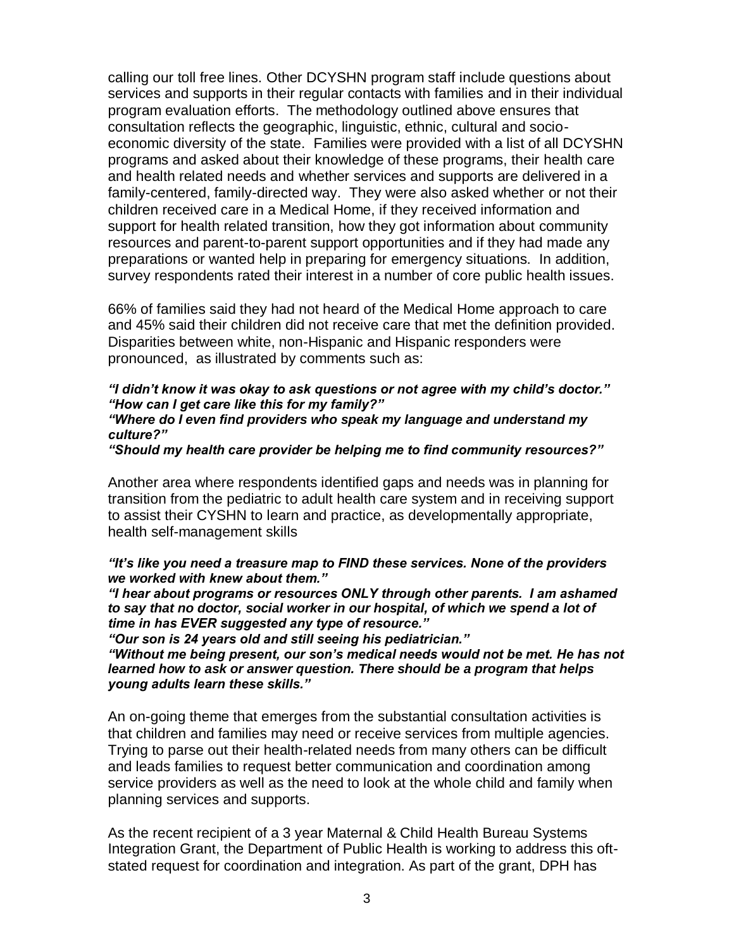calling our toll free lines. Other DCYSHN program staff include questions about services and supports in their regular contacts with families and in their individual program evaluation efforts. The methodology outlined above ensures that consultation reflects the geographic, linguistic, ethnic, cultural and socioeconomic diversity of the state. Families were provided with a list of all DCYSHN programs and asked about their knowledge of these programs, their health care and health related needs and whether services and supports are delivered in a family-centered, family-directed way. They were also asked whether or not their children received care in a Medical Home, if they received information and support for health related transition, how they got information about community resources and parent-to-parent support opportunities and if they had made any preparations or wanted help in preparing for emergency situations. In addition, survey respondents rated their interest in a number of core public health issues.

66% of families said they had not heard of the Medical Home approach to care and 45% said their children did not receive care that met the definition provided. Disparities between white, non-Hispanic and Hispanic responders were pronounced, as illustrated by comments such as:

# *"I didn't know it was okay to ask questions or not agree with my child's doctor." "How can I get care like this for my family?"*

#### *"Where do I even find providers who speak my language and understand my culture?"*

#### *"Should my health care provider be helping me to find community resources?"*

Another area where respondents identified gaps and needs was in planning for transition from the pediatric to adult health care system and in receiving support to assist their CYSHN to learn and practice, as developmentally appropriate, health self-management skills

#### *"It's like you need a treasure map to FIND these services. None of the providers we worked with knew about them."*

*"I hear about programs or resources ONLY through other parents. I am ashamed to say that no doctor, social worker in our hospital, of which we spend a lot of time in has EVER suggested any type of resource."*

*"Our son is 24 years old and still seeing his pediatrician."* 

*"Without me being present, our son's medical needs would not be met. He has not learned how to ask or answer question. There should be a program that helps young adults learn these skills."*

An on-going theme that emerges from the substantial consultation activities is that children and families may need or receive services from multiple agencies. Trying to parse out their health-related needs from many others can be difficult and leads families to request better communication and coordination among service providers as well as the need to look at the whole child and family when planning services and supports.

As the recent recipient of a 3 year Maternal & Child Health Bureau Systems Integration Grant, the Department of Public Health is working to address this oftstated request for coordination and integration. As part of the grant, DPH has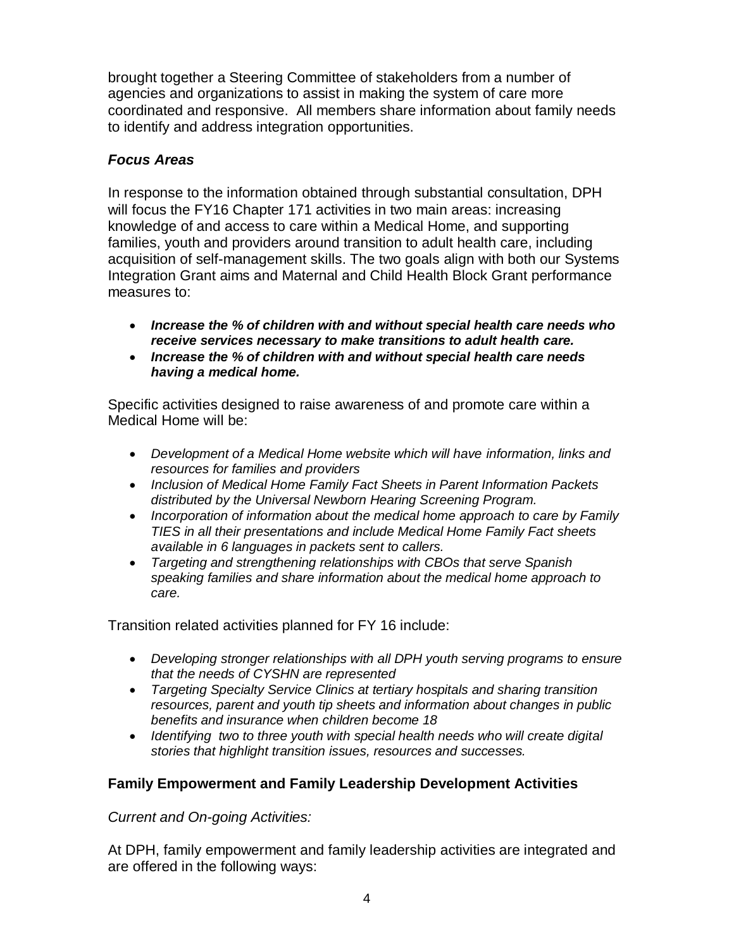brought together a Steering Committee of stakeholders from a number of agencies and organizations to assist in making the system of care more coordinated and responsive. All members share information about family needs to identify and address integration opportunities.

## *Focus Areas*

In response to the information obtained through substantial consultation, DPH will focus the FY16 Chapter 171 activities in two main areas: increasing knowledge of and access to care within a Medical Home, and supporting families, youth and providers around transition to adult health care, including acquisition of self-management skills. The two goals align with both our Systems Integration Grant aims and Maternal and Child Health Block Grant performance measures to:

- *Increase the % of children with and without special health care needs who receive services necessary to make transitions to adult health care.*
- *Increase the % of children with and without special health care needs having a medical home.*

Specific activities designed to raise awareness of and promote care within a Medical Home will be:

- *Development of a Medical Home website which will have information, links and resources for families and providers*
- *Inclusion of Medical Home Family Fact Sheets in Parent Information Packets distributed by the Universal Newborn Hearing Screening Program.*
- *Incorporation of information about the medical home approach to care by Family TIES in all their presentations and include Medical Home Family Fact sheets available in 6 languages in packets sent to callers.*
- *Targeting and strengthening relationships with CBOs that serve Spanish speaking families and share information about the medical home approach to care.*

Transition related activities planned for FY 16 include:

- *Developing stronger relationships with all DPH youth serving programs to ensure that the needs of CYSHN are represented*
- *Targeting Specialty Service Clinics at tertiary hospitals and sharing transition resources, parent and youth tip sheets and information about changes in public benefits and insurance when children become 18*
- *Identifying two to three youth with special health needs who will create digital stories that highlight transition issues, resources and successes.*

# **Family Empowerment and Family Leadership Development Activities**

*Current and On-going Activities:*

At DPH, family empowerment and family leadership activities are integrated and are offered in the following ways: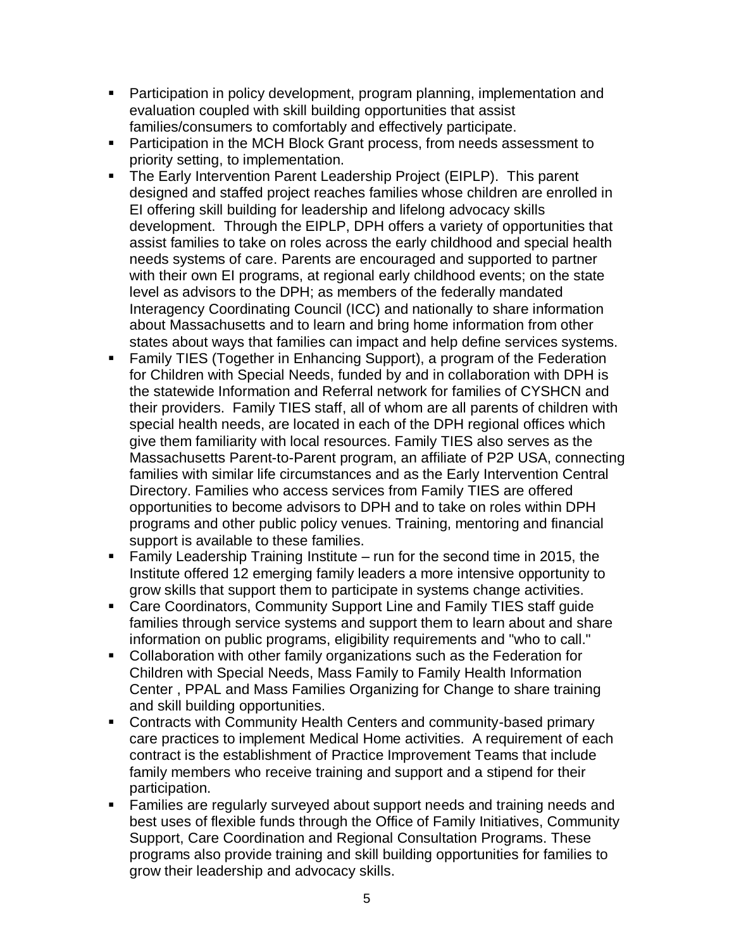- **Participation in policy development, program planning, implementation and** evaluation coupled with skill building opportunities that assist families/consumers to comfortably and effectively participate.
- **Participation in the MCH Block Grant process, from needs assessment to** priority setting, to implementation.
- The Early Intervention Parent Leadership Project (EIPLP). This parent designed and staffed project reaches families whose children are enrolled in EI offering skill building for leadership and lifelong advocacy skills development. Through the EIPLP, DPH offers a variety of opportunities that assist families to take on roles across the early childhood and special health needs systems of care. Parents are encouraged and supported to partner with their own EI programs, at regional early childhood events; on the state level as advisors to the DPH; as members of the federally mandated Interagency Coordinating Council (ICC) and nationally to share information about Massachusetts and to learn and bring home information from other states about ways that families can impact and help define services systems.
- Family TIES (Together in Enhancing Support), a program of the Federation for Children with Special Needs, funded by and in collaboration with DPH is the statewide Information and Referral network for families of CYSHCN and their providers. Family TIES staff, all of whom are all parents of children with special health needs, are located in each of the DPH regional offices which give them familiarity with local resources. Family TIES also serves as the Massachusetts Parent-to-Parent program, an affiliate of P2P USA, connecting families with similar life circumstances and as the Early Intervention Central Directory. Families who access services from Family TIES are offered opportunities to become advisors to DPH and to take on roles within DPH programs and other public policy venues. Training, mentoring and financial support is available to these families.
- **Family Leadership Training Institute run for the second time in 2015, the** Institute offered 12 emerging family leaders a more intensive opportunity to grow skills that support them to participate in systems change activities.
- Care Coordinators, Community Support Line and Family TIES staff guide families through service systems and support them to learn about and share information on public programs, eligibility requirements and "who to call."
- Collaboration with other family organizations such as the Federation for Children with Special Needs, Mass Family to Family Health Information Center , PPAL and Mass Families Organizing for Change to share training and skill building opportunities.
- Contracts with Community Health Centers and community-based primary care practices to implement Medical Home activities. A requirement of each contract is the establishment of Practice Improvement Teams that include family members who receive training and support and a stipend for their participation.
- Families are regularly surveyed about support needs and training needs and best uses of flexible funds through the Office of Family Initiatives, Community Support, Care Coordination and Regional Consultation Programs. These programs also provide training and skill building opportunities for families to grow their leadership and advocacy skills.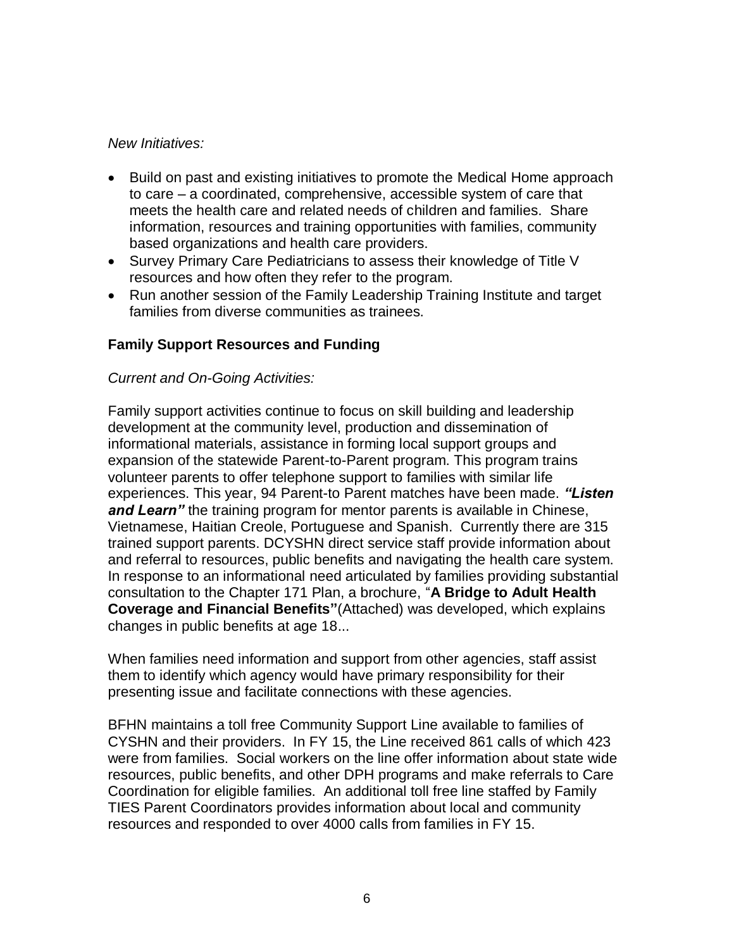#### *New Initiatives:*

- Build on past and existing initiatives to promote the Medical Home approach to care – a coordinated, comprehensive, accessible system of care that meets the health care and related needs of children and families. Share information, resources and training opportunities with families, community based organizations and health care providers.
- Survey Primary Care Pediatricians to assess their knowledge of Title V resources and how often they refer to the program.
- Run another session of the Family Leadership Training Institute and target families from diverse communities as trainees.

## **Family Support Resources and Funding**

#### *Current and On-Going Activities:*

Family support activities continue to focus on skill building and leadership development at the community level, production and dissemination of informational materials, assistance in forming local support groups and expansion of the statewide Parent-to-Parent program. This program trains volunteer parents to offer telephone support to families with similar life experiences. This year, 94 Parent-to Parent matches have been made. *"Listen and Learn"* the training program for mentor parents is available in Chinese, Vietnamese, Haitian Creole, Portuguese and Spanish. Currently there are 315 trained support parents. DCYSHN direct service staff provide information about and referral to resources, public benefits and navigating the health care system. In response to an informational need articulated by families providing substantial consultation to the Chapter 171 Plan, a brochure, "**A Bridge to Adult Health Coverage and Financial Benefits"**(Attached) was developed, which explains changes in public benefits at age 18...

When families need information and support from other agencies, staff assist them to identify which agency would have primary responsibility for their presenting issue and facilitate connections with these agencies.

BFHN maintains a toll free Community Support Line available to families of CYSHN and their providers. In FY 15, the Line received 861 calls of which 423 were from families. Social workers on the line offer information about state wide resources, public benefits, and other DPH programs and make referrals to Care Coordination for eligible families. An additional toll free line staffed by Family TIES Parent Coordinators provides information about local and community resources and responded to over 4000 calls from families in FY 15.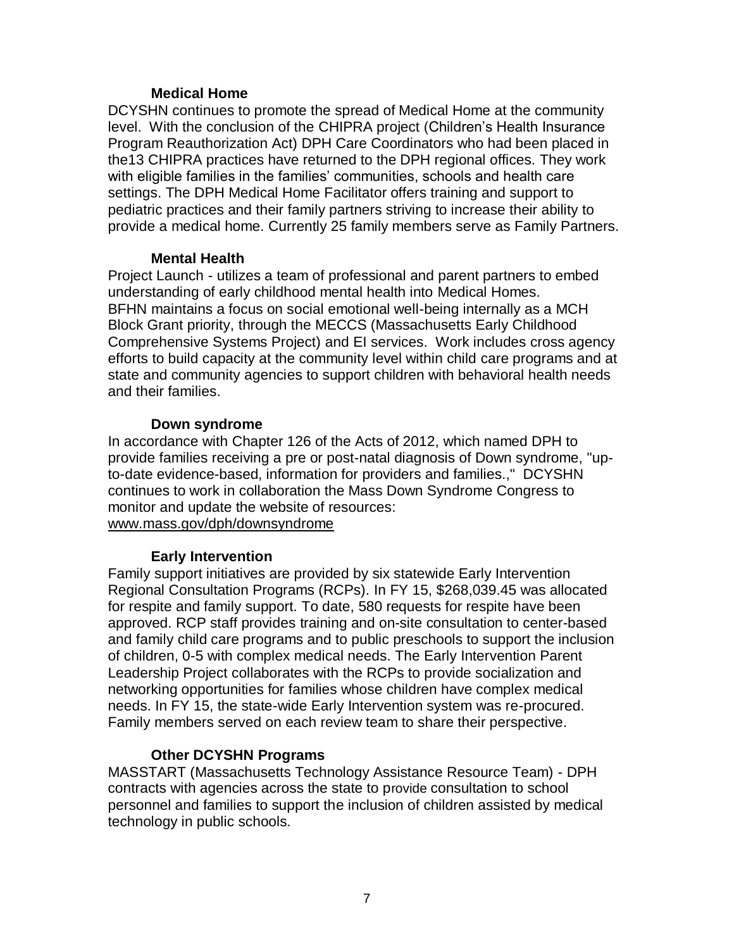#### **Medical Home**

DCYSHN continues to promote the spread of Medical Home at the community level. With the conclusion of the CHIPRA project (Children's Health Insurance Program Reauthorization Act) DPH Care Coordinators who had been placed in the13 CHIPRA practices have returned to the DPH regional offices. They work with eligible families in the families' communities, schools and health care settings. The DPH Medical Home Facilitator offers training and support to pediatric practices and their family partners striving to increase their ability to provide a medical home. Currently 25 family members serve as Family Partners.

#### **Mental Health**

Project Launch - utilizes a team of professional and parent partners to embed understanding of early childhood mental health into Medical Homes. BFHN maintains a focus on social emotional well-being internally as a MCH Block Grant priority, through the MECCS (Massachusetts Early Childhood Comprehensive Systems Project) and EI services. Work includes cross agency efforts to build capacity at the community level within child care programs and at state and community agencies to support children with behavioral health needs and their families.

## **Down syndrome**

In accordance with Chapter 126 of the Acts of 2012, which named DPH to provide families receiving a pre or post-natal diagnosis of Down syndrome, "upto-date evidence-based, information for providers and families.," DCYSHN continues to work in collaboration the Mass Down Syndrome Congress to monitor and update the website of resources: [www.mass.gov/dph/downsyndrome](http://www.mass.gov/dph/downsyndrome)

# **Early Intervention**

Family support initiatives are provided by six statewide Early Intervention Regional Consultation Programs (RCPs). In FY 15, \$268,039.45 was allocated for respite and family support. To date, 580 requests for respite have been approved. RCP staff provides training and on-site consultation to center-based and family child care programs and to public preschools to support the inclusion of children, 0-5 with complex medical needs. The Early Intervention Parent Leadership Project collaborates with the RCPs to provide socialization and networking opportunities for families whose children have complex medical needs. In FY 15, the state-wide Early Intervention system was re-procured. Family members served on each review team to share their perspective.

# **Other DCYSHN Programs**

MASSTART (Massachusetts Technology Assistance Resource Team) - DPH contracts with agencies across the state to provide consultation to school personnel and families to support the inclusion of children assisted by medical technology in public schools.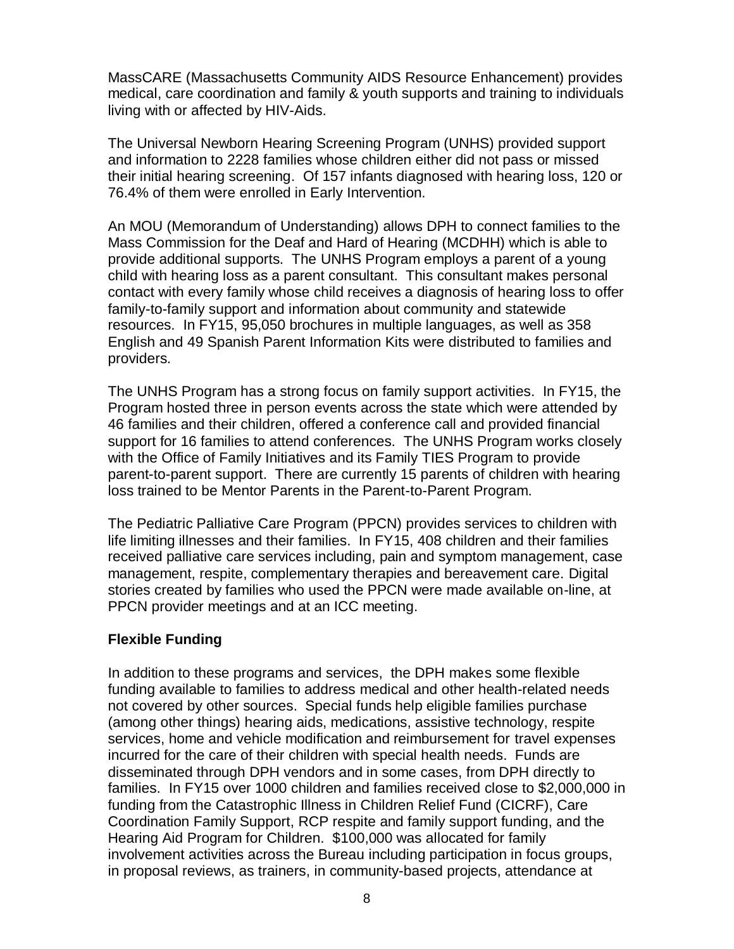MassCARE (Massachusetts Community AIDS Resource Enhancement) provides medical, care coordination and family & youth supports and training to individuals living with or affected by HIV-Aids.

The Universal Newborn Hearing Screening Program (UNHS) provided support and information to 2228 families whose children either did not pass or missed their initial hearing screening. Of 157 infants diagnosed with hearing loss, 120 or 76.4% of them were enrolled in Early Intervention.

An MOU (Memorandum of Understanding) allows DPH to connect families to the Mass Commission for the Deaf and Hard of Hearing (MCDHH) which is able to provide additional supports. The UNHS Program employs a parent of a young child with hearing loss as a parent consultant. This consultant makes personal contact with every family whose child receives a diagnosis of hearing loss to offer family-to-family support and information about community and statewide resources. In FY15, 95,050 brochures in multiple languages, as well as 358 English and 49 Spanish Parent Information Kits were distributed to families and providers.

The UNHS Program has a strong focus on family support activities. In FY15, the Program hosted three in person events across the state which were attended by 46 families and their children, offered a conference call and provided financial support for 16 families to attend conferences. The UNHS Program works closely with the Office of Family Initiatives and its Family TIES Program to provide parent-to-parent support. There are currently 15 parents of children with hearing loss trained to be Mentor Parents in the Parent-to-Parent Program.

The Pediatric Palliative Care Program (PPCN) provides services to children with life limiting illnesses and their families. In FY15, 408 children and their families received palliative care services including, pain and symptom management, case management, respite, complementary therapies and bereavement care. Digital stories created by families who used the PPCN were made available on-line, at PPCN provider meetings and at an ICC meeting.

# **Flexible Funding**

In addition to these programs and services, the DPH makes some flexible funding available to families to address medical and other health-related needs not covered by other sources. Special funds help eligible families purchase (among other things) hearing aids, medications, assistive technology, respite services, home and vehicle modification and reimbursement for travel expenses incurred for the care of their children with special health needs. Funds are disseminated through DPH vendors and in some cases, from DPH directly to families. In FY15 over 1000 children and families received close to \$2,000,000 in funding from the Catastrophic Illness in Children Relief Fund (CICRF), Care Coordination Family Support, RCP respite and family support funding, and the Hearing Aid Program for Children. \$100,000 was allocated for family involvement activities across the Bureau including participation in focus groups, in proposal reviews, as trainers, in community-based projects, attendance at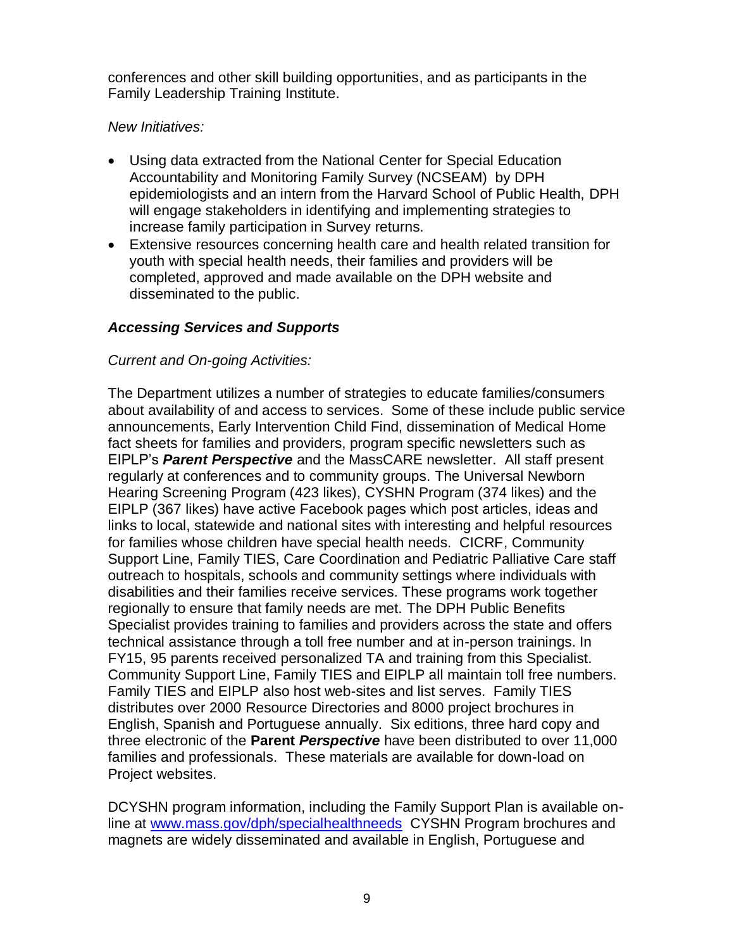conferences and other skill building opportunities, and as participants in the Family Leadership Training Institute.

#### *New Initiatives:*

- Using data extracted from the National Center for Special Education Accountability and Monitoring Family Survey (NCSEAM) by DPH epidemiologists and an intern from the Harvard School of Public Health, DPH will engage stakeholders in identifying and implementing strategies to increase family participation in Survey returns.
- Extensive resources concerning health care and health related transition for youth with special health needs, their families and providers will be completed, approved and made available on the DPH website and disseminated to the public.

# *Accessing Services and Supports*

## *Current and On-going Activities:*

The Department utilizes a number of strategies to educate families/consumers about availability of and access to services. Some of these include public service announcements, Early Intervention Child Find, dissemination of Medical Home fact sheets for families and providers, program specific newsletters such as EIPLP's *Parent Perspective* and the MassCARE newsletter. All staff present regularly at conferences and to community groups. The Universal Newborn Hearing Screening Program (423 likes), CYSHN Program (374 likes) and the EIPLP (367 likes) have active Facebook pages which post articles, ideas and links to local, statewide and national sites with interesting and helpful resources for families whose children have special health needs. CICRF, Community Support Line, Family TIES, Care Coordination and Pediatric Palliative Care staff outreach to hospitals, schools and community settings where individuals with disabilities and their families receive services. These programs work together regionally to ensure that family needs are met. The DPH Public Benefits Specialist provides training to families and providers across the state and offers technical assistance through a toll free number and at in-person trainings. In FY15, 95 parents received personalized TA and training from this Specialist. Community Support Line, Family TIES and EIPLP all maintain toll free numbers. Family TIES and EIPLP also host web-sites and list serves. Family TIES distributes over 2000 Resource Directories and 8000 project brochures in English, Spanish and Portuguese annually. Six editions, three hard copy and three electronic of the **Parent** *Perspective* have been distributed to over 11,000 families and professionals. These materials are available for down-load on Project websites.

DCYSHN program information, including the Family Support Plan is available online at [www.mass.gov/dph/specialhealthneeds](http://www.mass.gov/dph/specialhealthneeds) CYSHN Program brochures and magnets are widely disseminated and available in English, Portuguese and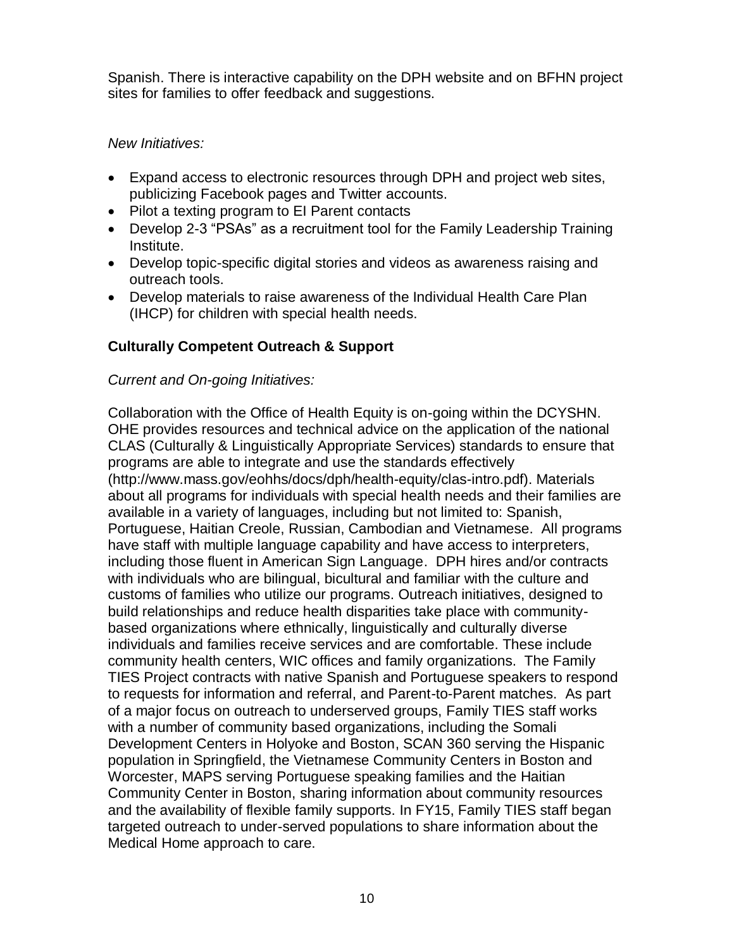Spanish. There is interactive capability on the DPH website and on BFHN project sites for families to offer feedback and suggestions.

## *New Initiatives:*

- Expand access to electronic resources through DPH and project web sites, publicizing Facebook pages and Twitter accounts.
- Pilot a texting program to EI Parent contacts
- Develop 2-3 "PSAs" as a recruitment tool for the Family Leadership Training Institute.
- Develop topic-specific digital stories and videos as awareness raising and outreach tools.
- Develop materials to raise awareness of the Individual Health Care Plan (IHCP) for children with special health needs.

# **Culturally Competent Outreach & Support**

## *Current and On-going Initiatives:*

Collaboration with the Office of Health Equity is on-going within the DCYSHN. OHE provides resources and technical advice on the application of the national CLAS (Culturally & Linguistically Appropriate Services) standards to ensure that programs are able to integrate and use the standards effectively (http://www.mass.gov/eohhs/docs/dph/health-equity/clas-intro.pdf). Materials about all programs for individuals with special health needs and their families are available in a variety of languages, including but not limited to: Spanish, Portuguese, Haitian Creole, Russian, Cambodian and Vietnamese. All programs have staff with multiple language capability and have access to interpreters, including those fluent in American Sign Language. DPH hires and/or contracts with individuals who are bilingual, bicultural and familiar with the culture and customs of families who utilize our programs. Outreach initiatives, designed to build relationships and reduce health disparities take place with communitybased organizations where ethnically, linguistically and culturally diverse individuals and families receive services and are comfortable. These include community health centers, WIC offices and family organizations. The Family TIES Project contracts with native Spanish and Portuguese speakers to respond to requests for information and referral, and Parent-to-Parent matches. As part of a major focus on outreach to underserved groups, Family TIES staff works with a number of community based organizations, including the Somali Development Centers in Holyoke and Boston, SCAN 360 serving the Hispanic population in Springfield, the Vietnamese Community Centers in Boston and Worcester, MAPS serving Portuguese speaking families and the Haitian Community Center in Boston, sharing information about community resources and the availability of flexible family supports. In FY15, Family TIES staff began targeted outreach to under-served populations to share information about the Medical Home approach to care.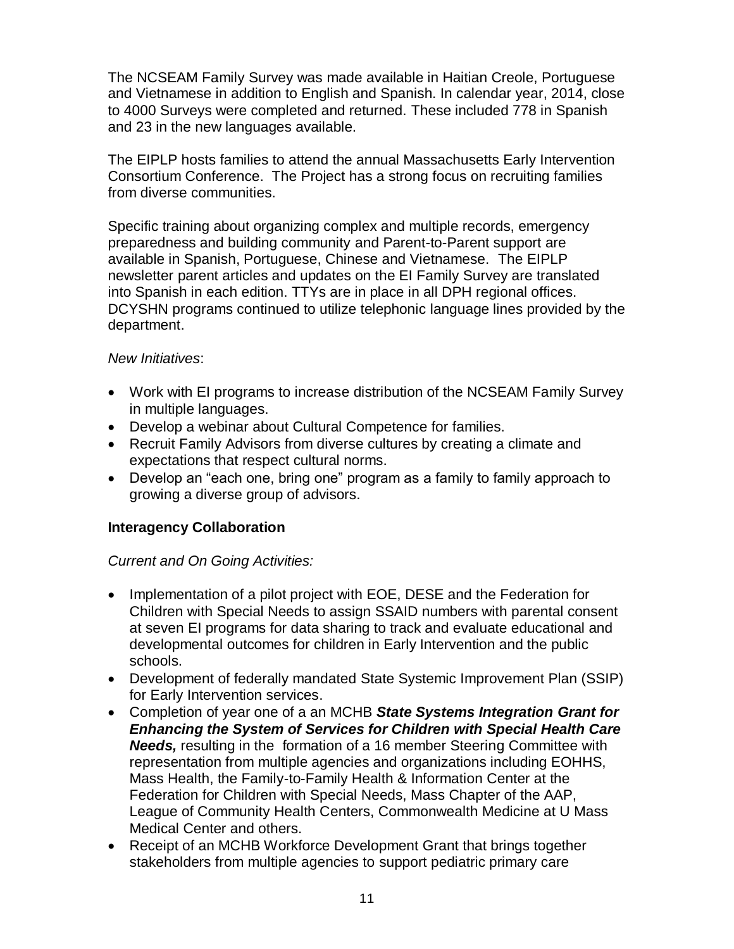The NCSEAM Family Survey was made available in Haitian Creole, Portuguese and Vietnamese in addition to English and Spanish. In calendar year, 2014, close to 4000 Surveys were completed and returned. These included 778 in Spanish and 23 in the new languages available.

The EIPLP hosts families to attend the annual Massachusetts Early Intervention Consortium Conference. The Project has a strong focus on recruiting families from diverse communities.

Specific training about organizing complex and multiple records, emergency preparedness and building community and Parent-to-Parent support are available in Spanish, Portuguese, Chinese and Vietnamese. The EIPLP newsletter parent articles and updates on the EI Family Survey are translated into Spanish in each edition. TTYs are in place in all DPH regional offices. DCYSHN programs continued to utilize telephonic language lines provided by the department.

## *New Initiatives*:

- Work with EI programs to increase distribution of the NCSEAM Family Survey in multiple languages.
- Develop a webinar about Cultural Competence for families.
- Recruit Family Advisors from diverse cultures by creating a climate and expectations that respect cultural norms.
- Develop an "each one, bring one" program as a family to family approach to growing a diverse group of advisors.

# **Interagency Collaboration**

# *Current and On Going Activities:*

- Implementation of a pilot project with EOE, DESE and the Federation for Children with Special Needs to assign SSAID numbers with parental consent at seven EI programs for data sharing to track and evaluate educational and developmental outcomes for children in Early Intervention and the public schools.
- Development of federally mandated State Systemic Improvement Plan (SSIP) for Early Intervention services.
- Completion of year one of a an MCHB *State Systems Integration Grant for Enhancing the System of Services for Children with Special Health Care Needs,* resulting in the formation of a 16 member Steering Committee with representation from multiple agencies and organizations including EOHHS, Mass Health, the Family-to-Family Health & Information Center at the Federation for Children with Special Needs, Mass Chapter of the AAP, League of Community Health Centers, Commonwealth Medicine at U Mass Medical Center and others.
- Receipt of an MCHB Workforce Development Grant that brings together stakeholders from multiple agencies to support pediatric primary care